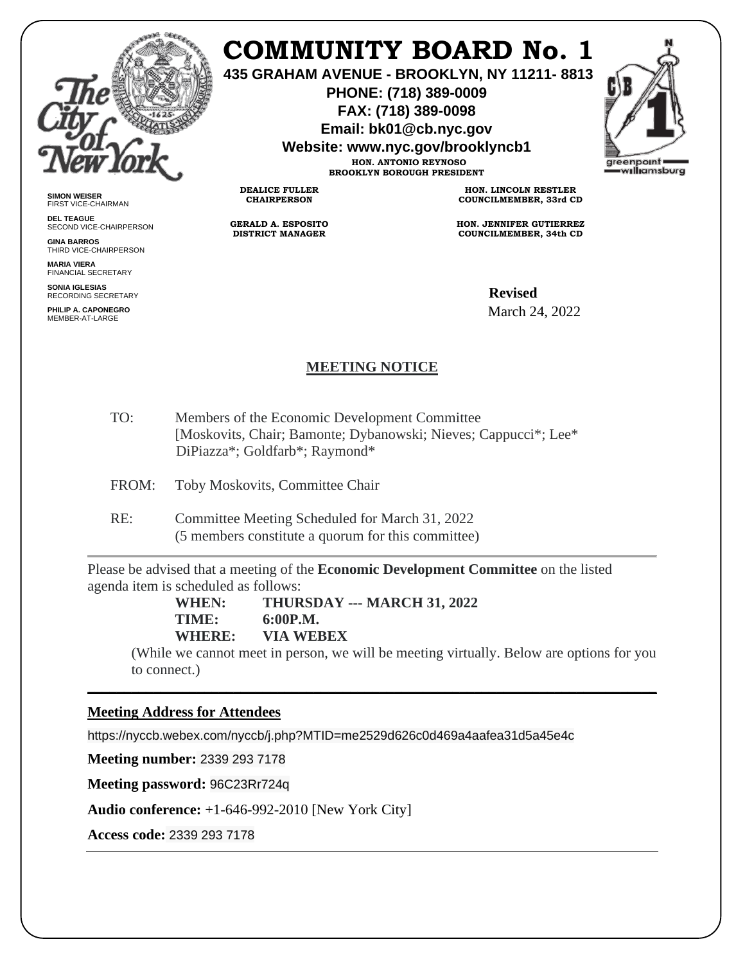

**SIMON WEISER** FIRST VICE-CHAIRMAN **DEL TEAGUE**

**GINA BARROS** THIRD VICE-CHAIRPERSON

**MARIA VIERA** FINANCIAL SECRETARY **SONIA IGLESIAS** RECORDING SECRETARY **PHILIP A. CAPONEGRO** MEMBER-AT-LARGE

SECOND VICE-CHAIRPERSON

## **COMMUNITY BOARD No. 1**

**435 GRAHAM AVENUE - BROOKLYN, NY 11211- 8813**

**PHONE: (718) 389-0009 FAX: (718) 389-0098**

**Email: bk01@cb.nyc.gov**

**Website: www.nyc.gov/brooklyncb1**

**HON. ANTONIO REYNOSO BROOKLYN BOROUGH PRESIDENT**

**DEALICE FULLER CHAIRPERSON**

**GERALD A. ESPOSITO DISTRICT MANAGER**

**HON. LINCOLN RESTLER COUNCILMEMBER, 33rd CD**

**HON. JENNIFER GUTIERREZ COUNCILMEMBER, 34th CD**

**Revised**<br>G SECRETARY March 24, 2022

## **MEETING NOTICE**

TO: Members of the Economic Development Committee [Moskovits, Chair; Bamonte; Dybanowski; Nieves; Cappucci\*; Lee\* DiPiazza\*; Goldfarb\*; Raymond\*

FROM: Toby Moskovits, Committee Chair

RE: Committee Meeting Scheduled for March 31, 2022 (5 members constitute a quorum for this committee)

Please be advised that a meeting of the **Economic Development Committee** on the listed agenda item is scheduled as follows:

> **WHEN: THURSDAY --- MARCH 31, 2022 TIME: 6:00P.M. WHERE: VIA WEBEX**

(While we cannot meet in person, we will be meeting virtually. Below are options for you to connect.)

\_\_\_\_\_\_\_\_\_\_\_\_\_\_\_\_\_\_\_\_\_\_\_\_\_\_\_\_\_\_\_\_\_\_\_\_\_\_\_\_\_\_\_\_\_\_\_\_\_\_\_\_\_\_\_\_\_\_\_\_\_\_\_\_\_\_\_\_\_\_\_\_\_\_\_\_\_\_

## **Meeting Address for Attendees**

https://nyccb.webex.com/nyccb/j.php?MTID=me2529d626c0d469a4aafea31d5a45e4c

**Meeting number:** 2339 293 7178

**Meeting password:** 96C23Rr724q

**Audio conference:** +1-646-992-2010 [New York City]

**Access code:** 2339 293 7178